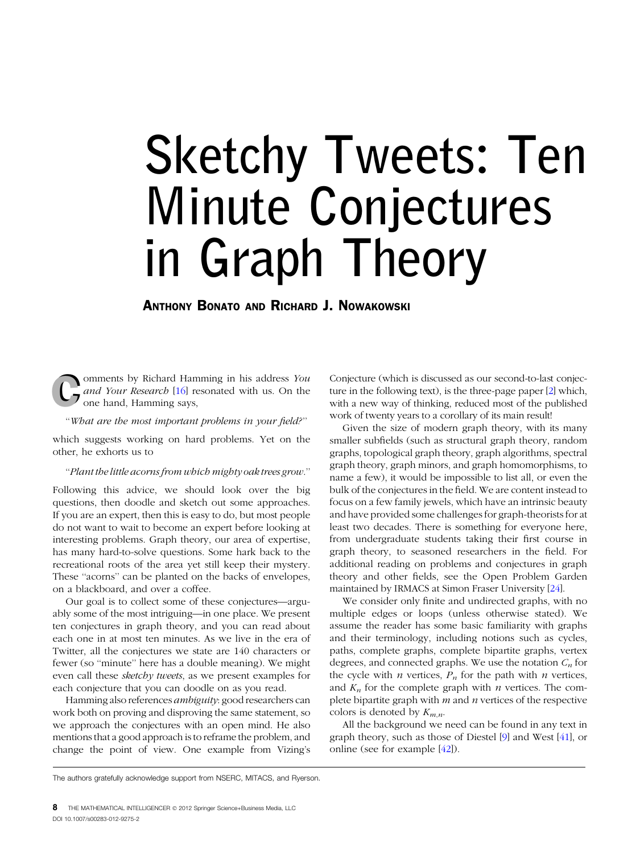# Sketchy Tweets: Ten Minute Conjectures in Graph Theory

ANTHONY BONATO AND RICHARD J. NOWAKOWSKI

omments by Richard Hamming in his address You and Your Research [[16](#page-6-0)] resonated with us. On the one hand, Hamming says,

''What are the most important problems in your field?''

which suggests working on hard problems. Yet on the other, he exhorts us to

## ''Plant the little acorns from which mighty oak trees grow.''

Following this advice, we should look over the big questions, then doodle and sketch out some approaches. If you are an expert, then this is easy to do, but most people do not want to wait to become an expert before looking at interesting problems. Graph theory, our area of expertise, has many hard-to-solve questions. Some hark back to the recreational roots of the area yet still keep their mystery. These ''acorns'' can be planted on the backs of envelopes, on a blackboard, and over a coffee.

Our goal is to collect some of these conjectures—arguably some of the most intriguing—in one place. We present ten conjectures in graph theory, and you can read about each one in at most ten minutes. As we live in the era of Twitter, all the conjectures we state are 140 characters or fewer (so ''minute'' here has a double meaning). We might even call these sketchy tweets, as we present examples for each conjecture that you can doodle on as you read.

Hamming also references ambiguity: good researchers can work both on proving and disproving the same statement, so we approach the conjectures with an open mind. He also mentions that a good approach is to reframe the problem, and change the point of view. One example from Vizing's

Conjecture (which is discussed as our second-to-last conjecture in the following text), is the three-page paper [[2\]](#page-6-0) which, with a new way of thinking, reduced most of the published work of twenty years to a corollary of its main result!

Given the size of modern graph theory, with its many smaller subfields (such as structural graph theory, random graphs, topological graph theory, graph algorithms, spectral graph theory, graph minors, and graph homomorphisms, to name a few), it would be impossible to list all, or even the bulk of the conjectures in the field. We are content instead to focus on a few family jewels, which have an intrinsic beauty and have provided some challenges for graph-theorists for at least two decades. There is something for everyone here, from undergraduate students taking their first course in graph theory, to seasoned researchers in the field. For additional reading on problems and conjectures in graph theory and other fields, see the Open Problem Garden maintained by IRMACS at Simon Fraser University [\[24\]](#page-6-0).

We consider only finite and undirected graphs, with no multiple edges or loops (unless otherwise stated). We assume the reader has some basic familiarity with graphs and their terminology, including notions such as cycles, paths, complete graphs, complete bipartite graphs, vertex degrees, and connected graphs. We use the notation  $C_n$  for the cycle with  $n$  vertices,  $P_n$  for the path with  $n$  vertices, and  $K_n$  for the complete graph with *n* vertices. The complete bipartite graph with  $m$  and  $n$  vertices of the respective colors is denoted by  $K_{m,n}$ .

All the background we need can be found in any text in graph theory, such as those of Diestel [\[9\]](#page-6-0) and West [\[41\]](#page-7-0), or online (see for example [\[42\]](#page-7-0)).

The authors gratefully acknowledge support from NSERC, MITACS, and Ryerson.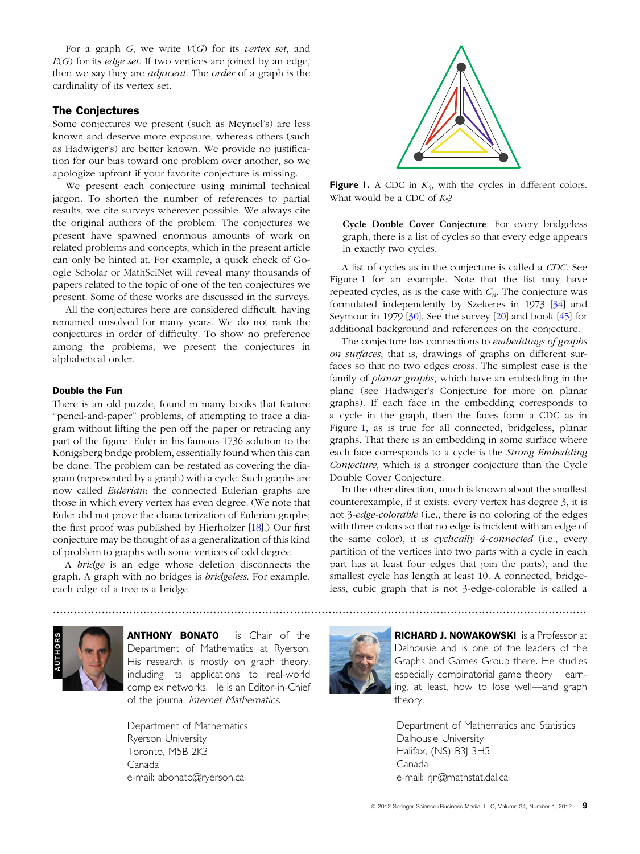For a graph  $G$ , we write  $V(G)$  for its vertex set, and  $E(G)$  for its *edge set*. If two vertices are joined by an edge, then we say they are adjacent. The order of a graph is the cardinality of its vertex set.

## The Conjectures

Some conjectures we present (such as Meyniel's) are less known and deserve more exposure, whereas others (such as Hadwiger's) are better known. We provide no justification for our bias toward one problem over another, so we apologize upfront if your favorite conjecture is missing.

We present each conjecture using minimal technical jargon. To shorten the number of references to partial results, we cite surveys wherever possible. We always cite the original authors of the problem. The conjectures we present have spawned enormous amounts of work on related problems and concepts, which in the present article can only be hinted at. For example, a quick check of Google Scholar or MathSciNet will reveal many thousands of papers related to the topic of one of the ten conjectures we present. Some of these works are discussed in the surveys.

All the conjectures here are considered difficult, having remained unsolved for many years. We do not rank the conjectures in order of difficulty. To show no preference among the problems, we present the conjectures in alphabetical order.

# Double the Fun

There is an old puzzle, found in many books that feature "pencil-and-paper" problems, of attempting to trace a diagram without lifting the pen off the paper or retracing any part of the figure. Euler in his famous 1736 solution to the Königsberg bridge problem, essentially found when this can be done. The problem can be restated as covering the diagram (represented by a graph) with a cycle. Such graphs are now called Eulerian; the connected Eulerian graphs are those in which every vertex has even degree. (We note that Euler did not prove the characterization of Eulerian graphs; the first proof was published by Hierholzer [[18](#page-6-0)].) Our first conjecture may be thought of as a generalization of this kind of problem to graphs with some vertices of odd degree.

A bridge is an edge whose deletion disconnects the graph. A graph with no bridges is *bridgeless*. For example, each edge of a tree is a bridge.



**Figure 1.** A CDC in  $K_4$ , with the cycles in different colors. What would be a CDC of  $K_5$ ?

Cycle Double Cover Conjecture: For every bridgeless graph, there is a list of cycles so that every edge appears in exactly two cycles.

A list of cycles as in the conjecture is called a CDC. See Figure [1](#page-1-0) for an example. Note that the list may have repeated cycles, as is the case with  $C_n$ . The conjecture was formulated independently by Szekeres in 1973 [\[34\]](#page-7-0) and Seymour in 1979 [\[30\]](#page-7-0). See the survey [\[20\]](#page-6-0) and book [\[45\]](#page-7-0) for additional background and references on the conjecture.

The conjecture has connections to *embeddings of graphs* on surfaces; that is, drawings of graphs on different surfaces so that no two edges cross. The simplest case is the family of *planar graphs*, which have an embedding in the plane (see Hadwiger's Conjecture for more on planar graphs). If each face in the embedding corresponds to a cycle in the graph, then the faces form a CDC as in Figure [1](#page-1-0), as is true for all connected, bridgeless, planar graphs. That there is an embedding in some surface where each face corresponds to a cycle is the Strong Embedding Conjecture, which is a stronger conjecture than the Cycle Double Cover Conjecture.

In the other direction, much is known about the smallest counterexample, if it exists: every vertex has degree 3, it is not 3-edge-colorable (i.e., there is no coloring of the edges with three colors so that no edge is incident with an edge of the same color), it is cyclically 4-connected (i.e., every partition of the vertices into two parts with a cycle in each part has at least four edges that join the parts), and the smallest cycle has length at least 10. A connected, bridgeless, cubic graph that is not 3-edge-colorable is called a



**ANTHONY BONATO** is Chair of the Department of Mathematics at Ryerson. His research is mostly on graph theory, including its applications to real-world complex networks. He is an Editor-in-Chief of the journal Internet Mathematics.

<span id="page-1-0"></span>Department of Mathematics Ryerson University Toronto, M5B 2K3 Canada e-mail: abonato@ryerson.ca



.........................................................................................................................................................

**RICHARD J. NOWAKOWSKI** is a Professor at Dalhousie and is one of the leaders of the Graphs and Games Group there. He studies especially combinatorial game theory—learning, at least, how to lose well—and graph theory.

Department of Mathematics and Statistics Dalhousie University Halifax, (NS) B3| 3H5 Canada e-mail: rjn@mathstat.dal.ca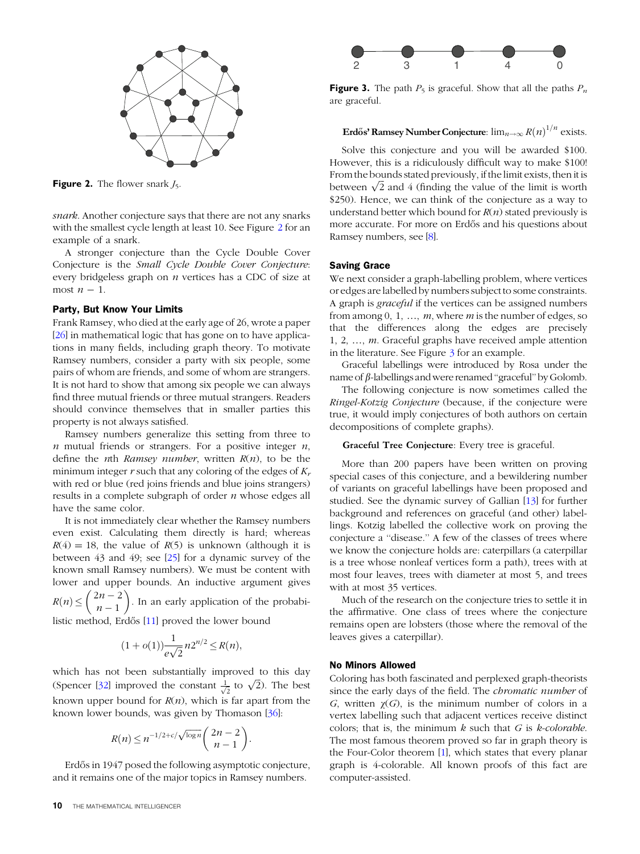

**Figure 2.** The flower snark  $J_5$ .

snark. Another conjecture says that there are not any snarks with the smallest cycle length at least 10. See Figure [2](#page-2-0) for an example of a snark.

A stronger conjecture than the Cycle Double Cover Conjecture is the Small Cycle Double Cover Conjecture: every bridgeless graph on  $n$  vertices has a CDC of size at most  $n-1$ .

# Party, But Know Your Limits

Frank Ramsey, who died at the early age of 26, wrote a paper [\[26\]](#page-6-0) in mathematical logic that has gone on to have applications in many fields, including graph theory. To motivate Ramsey numbers, consider a party with six people, some pairs of whom are friends, and some of whom are strangers. It is not hard to show that among six people we can always find three mutual friends or three mutual strangers. Readers should convince themselves that in smaller parties this property is not always satisfied.

Ramsey numbers generalize this setting from three to  $n$  mutual friends or strangers. For a positive integer  $n$ , define the *n*th *Ramsey number*, written  $R(n)$ , to be the minimum integer r such that any coloring of the edges of  $K_r$ with red or blue (red joins friends and blue joins strangers) results in a complete subgraph of order  $n$  whose edges all have the same color.

It is not immediately clear whether the Ramsey numbers even exist. Calculating them directly is hard; whereas  $R(4) = 18$ , the value of  $R(5)$  is unknown (although it is between 43 and 49; see [\[25\]](#page-6-0) for a dynamic survey of the known small Ramsey numbers). We must be content with lower and upper bounds. An inductive argument gives  $R(n) \leq \left(\begin{array}{c} 2n - 2 \\ n - 1 \end{array}\right)$  $\binom{2n-2}{n-1}$ . In an early application of the probabi-

listic method, Erdős [[11\]](#page-6-0) proved the lower bound

$$
(1 + o(1)) \frac{1}{e\sqrt{2}} n 2^{n/2} \le R(n),
$$

which has not been substantially improved to this day (Spencer [\[32\]](#page-7-0) improved the constant  $\frac{1}{\sqrt{2}}$  to  $\sqrt{2}$ ). The best known upper bound for  $R(n)$ , which is far apart from the known lower bounds, was given by Thomason [\[36\]](#page-7-0):

$$
R(n) \le n^{-1/2 + c/\sqrt{\log n}} \binom{2n-2}{n-1}.
$$

<span id="page-2-0"></span>Erdős in 1947 posed the following asymptotic conjecture, and it remains one of the major topics in Ramsey numbers.



**Figure 3.** The path  $P_5$  is graceful. Show that all the paths  $P_n$ are graceful.

Erdős' Ramsey Number Conjecture:  $\lim_{n\to\infty} R(n)^{1/n}$  exists.

Solve this conjecture and you will be awarded \$100. However, this is a ridiculously difficult way to make \$100! From the bounds stated previously, if the limit exists, then it is between  $\sqrt{2}$  and 4 (finding the value of the limit is worth \$250). Hence, we can think of the conjecture as a way to understand better which bound for  $R(n)$  stated previously is more accurate. For more on Erdős and his questions about Ramsey numbers, see [[8](#page-6-0)].

## Saving Grace

We next consider a graph-labelling problem, where vertices or edges are labelled by numbers subject to some constraints. A graph is graceful if the vertices can be assigned numbers from among 0, 1, ...,  $m$ , where  $m$  is the number of edges, so that the differences along the edges are precisely 1, 2, …, m. Graceful graphs have received ample attention in the literature. See Figure  $\frac{3}{2}$  $\frac{3}{2}$  $\frac{3}{2}$  for an example.

Graceful labellings were introduced by Rosa under the name of  $\beta$ -labellings and were renamed "graceful" by Golomb.

The following conjecture is now sometimes called the Ringel-Kotzig Conjecture (because, if the conjecture were true, it would imply conjectures of both authors on certain decompositions of complete graphs).

#### Graceful Tree Conjecture: Every tree is graceful.

More than 200 papers have been written on proving special cases of this conjecture, and a bewildering number of variants on graceful labellings have been proposed and studied. See the dynamic survey of Gallian [[13](#page-6-0)] for further background and references on graceful (and other) labellings. Kotzig labelled the collective work on proving the conjecture a ''disease.'' A few of the classes of trees where we know the conjecture holds are: caterpillars (a caterpillar is a tree whose nonleaf vertices form a path), trees with at most four leaves, trees with diameter at most 5, and trees with at most 35 vertices.

Much of the research on the conjecture tries to settle it in the affirmative. One class of trees where the conjecture remains open are lobsters (those where the removal of the leaves gives a caterpillar).

#### No Minors Allowed

Coloring has both fascinated and perplexed graph-theorists since the early days of the field. The *chromatic number* of G, written  $\gamma(G)$ , is the minimum number of colors in a vertex labelling such that adjacent vertices receive distinct colors; that is, the minimum  $k$  such that  $G$  is  $k$ -colorable. The most famous theorem proved so far in graph theory is the Four-Color theorem [[1\]](#page-6-0), which states that every planar graph is 4-colorable. All known proofs of this fact are computer-assisted.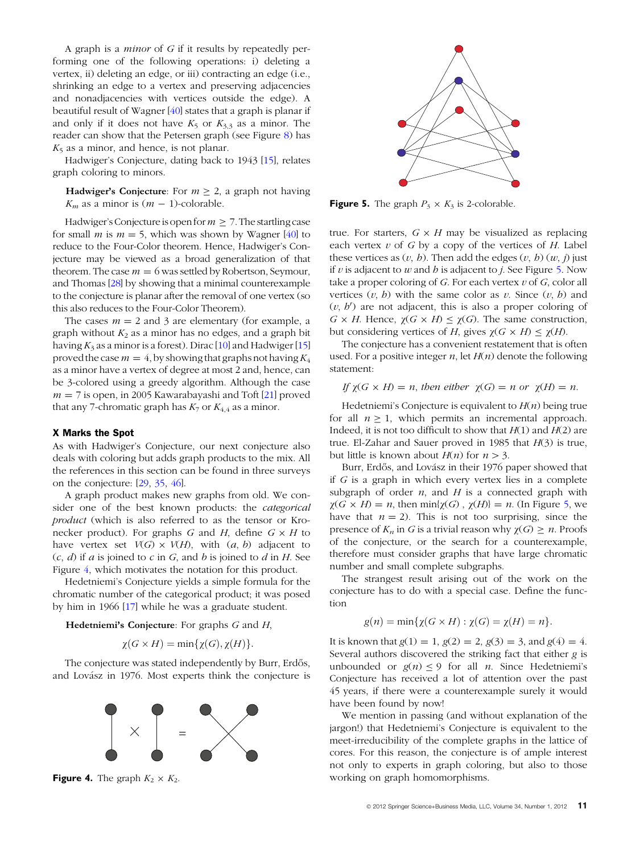A graph is a minor of G if it results by repeatedly performing one of the following operations: i) deleting a vertex, ii) deleting an edge, or iii) contracting an edge (i.e., shrinking an edge to a vertex and preserving adjacencies and nonadjacencies with vertices outside the edge). A beautiful result of Wagner [[40](#page-7-0)] states that a graph is planar if and only if it does not have  $K_5$  or  $K_{3,3}$  as a minor. The reader can show that the Petersen graph (see Figure [8](#page-5-0)) has  $K_5$  as a minor, and hence, is not planar.

Hadwiger's Conjecture, dating back to 1943 [[15](#page-6-0)], relates graph coloring to minors.

**Hadwiger's Conjecture**: For  $m \ge 2$ , a graph not having  $K_m$  as a minor is  $(m - 1)$ -colorable.

Hadwiger's Conjecture is open for  $m \geq 7$ . The startling case for small *m* is  $m = 5$ , which was shown by Wagner [\[40\]](#page-7-0) to reduce to the Four-Color theorem. Hence, Hadwiger's Conjecture may be viewed as a broad generalization of that theorem. The case  $m = 6$  was settled by Robertson, Seymour, and Thomas [[28\]](#page-6-0) by showing that a minimal counterexample to the conjecture is planar after the removal of one vertex (so this also reduces to the Four-Color Theorem).

The cases  $m = 2$  and 3 are elementary (for example, a graph without  $K_2$  as a minor has no edges, and a graph bit having  $K_3$  as a minor is a forest). Dirac [\[10\]](#page-6-0) and Hadwiger [\[15\]](#page-6-0) proved the case  $m = 4$ , by showing that graphs not having  $K_4$ as a minor have a vertex of degree at most 2 and, hence, can be 3-colored using a greedy algorithm. Although the case  $m = 7$  is open, in 2005 Kawarabayashi and Toft [\[21\]](#page-6-0) proved that any 7-chromatic graph has  $K_7$  or  $K_{4,4}$  as a minor.

#### X Marks the Spot

As with Hadwiger's Conjecture, our next conjecture also deals with coloring but adds graph products to the mix. All the references in this section can be found in three surveys on the conjecture: [[29,](#page-7-0) [35](#page-7-0), [46](#page-7-0)].

A graph product makes new graphs from old. We consider one of the best known products: the categorical product (which is also referred to as the tensor or Kronecker product). For graphs G and H, define  $G \times H$  to have vertex set  $V(G) \times V(H)$ , with  $(a, b)$  adjacent to  $(c, d)$  if a is joined to c in G, and b is joined to d in H. See Figure [4](#page-3-0), which motivates the notation for this product.

Hedetniemi's Conjecture yields a simple formula for the chromatic number of the categorical product; it was posed by him in 1966 [\[17\]](#page-6-0) while he was a graduate student.

**Hedetniemi's Conjecture**: For graphs  $G$  and  $H$ ,

$$
\chi(G \times H) = \min{\{\chi(G), \chi(H)\}}.
$$

The conjecture was stated independently by Burr, Erdős, and Lovász in 1976. Most experts think the conjecture is



<span id="page-3-0"></span>**Figure 4.** The graph  $K_2 \times K_2$ .



**Figure 5.** The graph  $P_3 \times K_3$  is 2-colorable.

true. For starters,  $G \times H$  may be visualized as replacing each vertex  $v$  of G by a copy of the vertices of H. Label these vertices as  $(v, b)$ . Then add the edges  $(v, b)$   $(w, j)$  just if v is adjacent to w and h is adjacent to j. See Figure [5.](#page-3-0) Now take a proper coloring of  $G$ . For each vertex  $v$  of  $G$ , color all vertices  $(v, b)$  with the same color as v. Since  $(v, b)$  and  $(v, b')$  are not adjacent, this is also a proper coloring of  $G \times H$ . Hence,  $\chi(G \times H) \leq \chi(G)$ . The same construction, but considering vertices of H, gives  $\chi(G \times H) \leq \chi(H)$ .

The conjecture has a convenient restatement that is often used. For a positive integer  $n$ , let  $H(n)$  denote the following statement:

If  $\gamma(G \times H) = n$ , then either  $\gamma(G) = n$  or  $\gamma(H) = n$ .

Hedetniemi's Conjecture is equivalent to  $H(n)$  being true for all  $n > 1$ , which permits an incremental approach. Indeed, it is not too difficult to show that  $H(1)$  and  $H(2)$  are true. El-Zahar and Sauer proved in 1985 that  $H(3)$  is true, but little is known about  $H(n)$  for  $n>3$ .

Burr, Erdős, and Lovász in their 1976 paper showed that if G is a graph in which every vertex lies in a complete subgraph of order  $n$ , and  $H$  is a connected graph with  $\chi(G \times H) = n$ , then min{ $\chi(G)$ ,  $\chi(H) = n$ . (In Figure [5,](#page-3-0) we have that  $n = 2$ ). This is not too surprising, since the presence of  $K_n$  in G is a trivial reason why  $\chi(G) \geq n$ . Proofs of the conjecture, or the search for a counterexample, therefore must consider graphs that have large chromatic number and small complete subgraphs.

The strangest result arising out of the work on the conjecture has to do with a special case. Define the function

$$
g(n) = \min\{\chi(G \times H) : \chi(G) = \chi(H) = n\}.
$$

It is known that  $g(1) = 1$ ,  $g(2) = 2$ ,  $g(3) = 3$ , and  $g(4) = 4$ . Several authors discovered the striking fact that either g is unbounded or  $g(n) \le 9$  for all *n*. Since Hedetniemi's Conjecture has received a lot of attention over the past 45 years, if there were a counterexample surely it would have been found by now!

We mention in passing (and without explanation of the jargon!) that Hedetniemi's Conjecture is equivalent to the meet-irreducibility of the complete graphs in the lattice of cores. For this reason, the conjecture is of ample interest not only to experts in graph coloring, but also to those working on graph homomorphisms.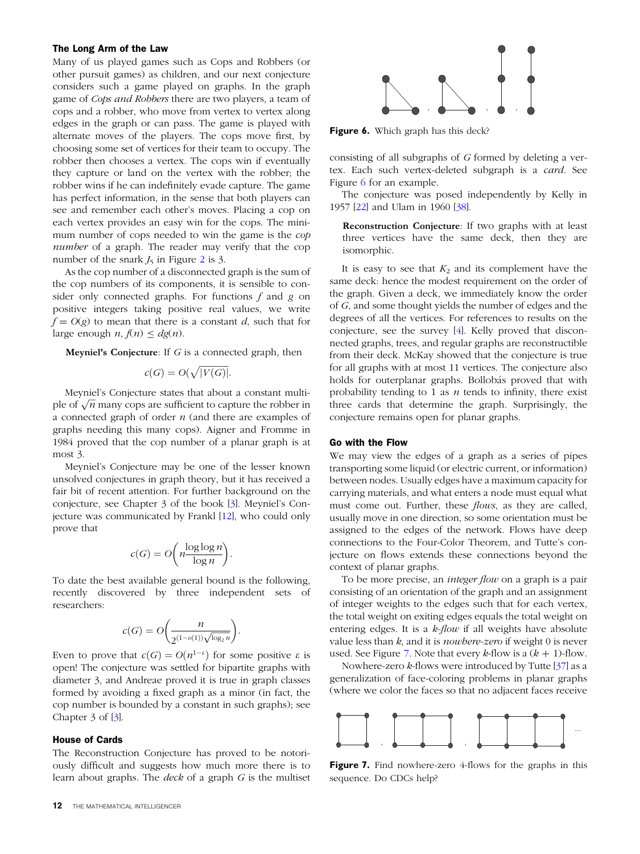#### The Long Arm of the Law

Many of us played games such as Cops and Robbers (or other pursuit games) as children, and our next conjecture considers such a game played on graphs. In the graph game of Cops and Robbers there are two players, a team of cops and a robber, who move from vertex to vertex along edges in the graph or can pass. The game is played with alternate moves of the players. The cops move first, by choosing some set of vertices for their team to occupy. The robber then chooses a vertex. The cops win if eventually they capture or land on the vertex with the robber; the robber wins if he can indefinitely evade capture. The game has perfect information, in the sense that both players can see and remember each other's moves. Placing a cop on each vertex provides an easy win for the cops. The minimum number of cops needed to win the game is the cop number of a graph. The reader may verify that the cop number of the snark  $J_5$  in Figure [2](#page-2-0) is 3.

As the cop number of a disconnected graph is the sum of the cop numbers of its components, it is sensible to consider only connected graphs. For functions  $f$  and  $g$  on positive integers taking positive real values, we write  $f = O(g)$  to mean that there is a constant d, such that for large enough  $n, f(n) \leq dg(n)$ .

**Meyniel's Conjecture**: If  $G$  is a connected graph, then

$$
c(G) = O(\sqrt{|V(G)|}).
$$

Meyniel's Conjecture states that about a constant multiple of  $\sqrt{n}$  many cops are sufficient to capture the robber in a connected graph of order  $n$  (and there are examples of graphs needing this many cops). Aigner and Fromme in 1984 proved that the cop number of a planar graph is at most 3.

Meyniel's Conjecture may be one of the lesser known unsolved conjectures in graph theory, but it has received a fair bit of recent attention. For further background on the conjecture, see Chapter 3 of the book [[3](#page-6-0)]. Meyniel's Conjecture was communicated by Frankl [[12](#page-6-0)], who could only prove that

$$
c(G) = O\bigg(n\frac{\log\log n}{\log n}\bigg).
$$

To date the best available general bound is the following, recently discovered by three independent sets of researchers:

$$
c(G) = O\bigg(\frac{n}{2^{(1-o(1))\sqrt{\log_2 n}}}\bigg).
$$

Even to prove that  $c(G) = O(n^{1-\varepsilon})$  for some positive  $\varepsilon$  is open! The conjecture was settled for bipartite graphs with diameter 3, and Andreae proved it is true in graph classes formed by avoiding a fixed graph as a minor (in fact, the cop number is bounded by a constant in such graphs); see Chapter 3 of [[3](#page-6-0)].

#### House of Cards

<span id="page-4-0"></span>The Reconstruction Conjecture has proved to be notoriously difficult and suggests how much more there is to learn about graphs. The deck of a graph G is the multiset

Figure 6. Which graph has this deck?

consisting of all subgraphs of G formed by deleting a vertex. Each such vertex-deleted subgraph is a card. See Figure [6](#page-4-0) for an example.

The conjecture was posed independently by Kelly in 1957 [\[22\]](#page-6-0) and Ulam in 1960 [\[38\]](#page-7-0).

Reconstruction Conjecture: If two graphs with at least three vertices have the same deck, then they are isomorphic.

It is easy to see that  $K_2$  and its complement have the same deck: hence the modest requirement on the order of the graph. Given a deck, we immediately know the order of G, and some thought yields the number of edges and the degrees of all the vertices. For references to results on the conjecture, see the survey [\[4](#page-6-0)]. Kelly proved that disconnected graphs, trees, and regular graphs are reconstructible from their deck. McKay showed that the conjecture is true for all graphs with at most 11 vertices. The conjecture also holds for outerplanar graphs. Bollobás proved that with probability tending to 1 as  $n$  tends to infinity, there exist three cards that determine the graph. Surprisingly, the conjecture remains open for planar graphs.

### Go with the Flow

We may view the edges of a graph as a series of pipes transporting some liquid (or electric current, or information) between nodes. Usually edges have a maximum capacity for carrying materials, and what enters a node must equal what must come out. Further, these *flows*, as they are called, usually move in one direction, so some orientation must be assigned to the edges of the network. Flows have deep connections to the Four-Color Theorem, and Tutte's conjecture on flows extends these connections beyond the context of planar graphs.

To be more precise, an *integer flow* on a graph is a pair consisting of an orientation of the graph and an assignment of integer weights to the edges such that for each vertex, the total weight on exiting edges equals the total weight on entering edges. It is a  $k$ -flow if all weights have absolute value less than  $k$ , and it is *nowhere-zero* if weight 0 is never used. See Figure [7.](#page-4-0) Note that every  $k$ -flow is a  $(k + 1)$ -flow.

Nowhere-zero  $k$ -flows were introduced by Tutte [[37](#page-7-0)] as a generalization of face-coloring problems in planar graphs (where we color the faces so that no adjacent faces receive



Figure 7. Find nowhere-zero 4-flows for the graphs in this sequence. Do CDCs help?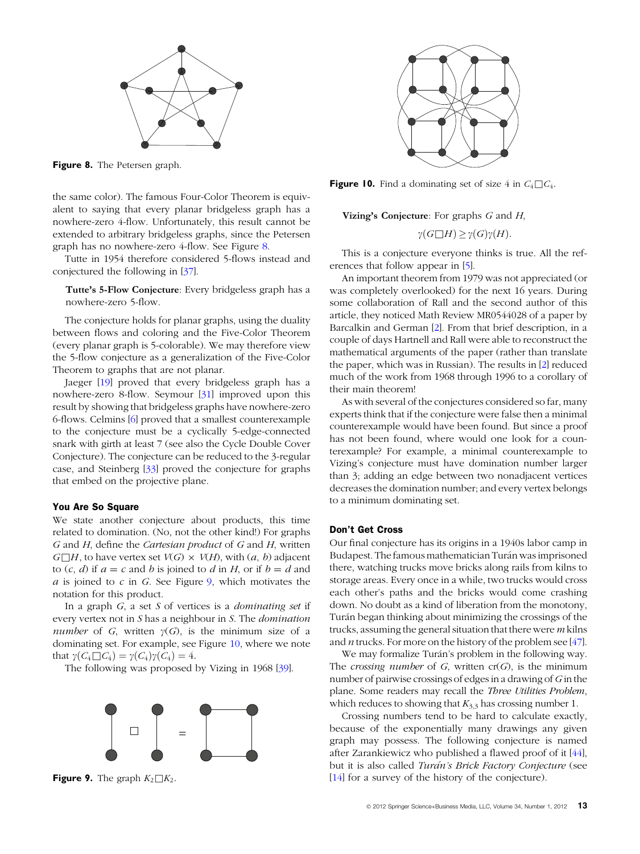

Figure 8. The Petersen graph.

the same color). The famous Four-Color Theorem is equivalent to saying that every planar bridgeless graph has a nowhere-zero 4-flow. Unfortunately, this result cannot be extended to arbitrary bridgeless graphs, since the Petersen graph has no nowhere-zero 4-flow. See Figure [8](#page-5-0).

Tutte in 1954 therefore considered 5-flows instead and conjectured the following in [\[37\]](#page-7-0).

Tutte's 5-Flow Conjecture: Every bridgeless graph has a nowhere-zero 5-flow.

The conjecture holds for planar graphs, using the duality between flows and coloring and the Five-Color Theorem (every planar graph is 5-colorable). We may therefore view the 5-flow conjecture as a generalization of the Five-Color Theorem to graphs that are not planar.

Jaeger [[19](#page-6-0)] proved that every bridgeless graph has a nowhere-zero 8-flow. Seymour [[31](#page-7-0)] improved upon this result by showing that bridgeless graphs have nowhere-zero 6-flows. Celmins [\[6\]](#page-6-0) proved that a smallest counterexample to the conjecture must be a cyclically 5-edge-connected snark with girth at least 7 (see also the Cycle Double Cover Conjecture). The conjecture can be reduced to the 3-regular case, and Steinberg [\[33\]](#page-7-0) proved the conjecture for graphs that embed on the projective plane.

#### You Are So Square

We state another conjecture about products, this time related to domination. (No, not the other kind!) For graphs G and H, define the Cartesian product of G and H, written  $G \square H$ , to have vertex set  $V(G) \times V(H)$ , with  $(a, b)$  adjacent to  $(c, d)$  if  $a = c$  and b is joined to d in H, or if  $b = d$  and  $a$  is joined to  $c$  in  $G$ . See Figure [9,](#page-5-0) which motivates the notation for this product.

In a graph  $G$ , a set  $S$  of vertices is a *dominating set* if every vertex not in S has a neighbour in S. The domination number of G, written  $\gamma(G)$ , is the minimum size of a dominating set. For example, see Figure [10,](#page-5-0) where we note that  $\gamma(C_4 \square C_4) = \gamma(C_4)\gamma(C_4) = 4.$ 

The following was proposed by Vizing in 1968 [[39\]](#page-7-0).



<span id="page-5-0"></span>**Figure 9.** The graph  $K_2 \square K_2$ .



**Figure 10.** Find a dominating set of size 4 in  $C_4 \square C_4$ .

Vizing's Conjecture: For graphs  $G$  and  $H$ ,

$$
\gamma(G \square H) \ge \gamma(G)\gamma(H).
$$

This is a conjecture everyone thinks is true. All the references that follow appear in [[5](#page-6-0)].

An important theorem from 1979 was not appreciated (or was completely overlooked) for the next 16 years. During some collaboration of Rall and the second author of this article, they noticed Math Review MR0544028 of a paper by Barcalkin and German [[2\]](#page-6-0). From that brief description, in a couple of days Hartnell and Rall were able to reconstruct the mathematical arguments of the paper (rather than translate the paper, which was in Russian). The results in [[2](#page-6-0)] reduced much of the work from 1968 through 1996 to a corollary of their main theorem!

As with several of the conjectures considered so far, many experts think that if the conjecture were false then a minimal counterexample would have been found. But since a proof has not been found, where would one look for a counterexample? For example, a minimal counterexample to Vizing's conjecture must have domination number larger than 3; adding an edge between two nonadjacent vertices decreases the domination number; and every vertex belongs to a minimum dominating set.

#### Don't Get Cross

Our final conjecture has its origins in a 1940s labor camp in Budapest. The famous mathematician Turán was imprisoned there, watching trucks move bricks along rails from kilns to storage areas. Every once in a while, two trucks would cross each other's paths and the bricks would come crashing down. No doubt as a kind of liberation from the monotony, Turán began thinking about minimizing the crossings of the trucks, assuming the general situation that there were  $m$  kilns and *n* trucks. For more on the history of the problem see [47].

We may formalize Turán's problem in the following way. The crossing number of G, written  $cr(G)$ , is the minimum number of pairwise crossings of edges in a drawing of  $G$  in the plane. Some readers may recall the Three Utilities Problem, which reduces to showing that  $K_{3,3}$  has crossing number 1.

Crossing numbers tend to be hard to calculate exactly, because of the exponentially many drawings any given graph may possess. The following conjecture is named after Zarankiewicz who published a flawed proof of it [[44](#page-7-0)], but it is also called Turán's Brick Factory Conjecture (see [\[14\]](#page-6-0) for a survey of the history of the conjecture).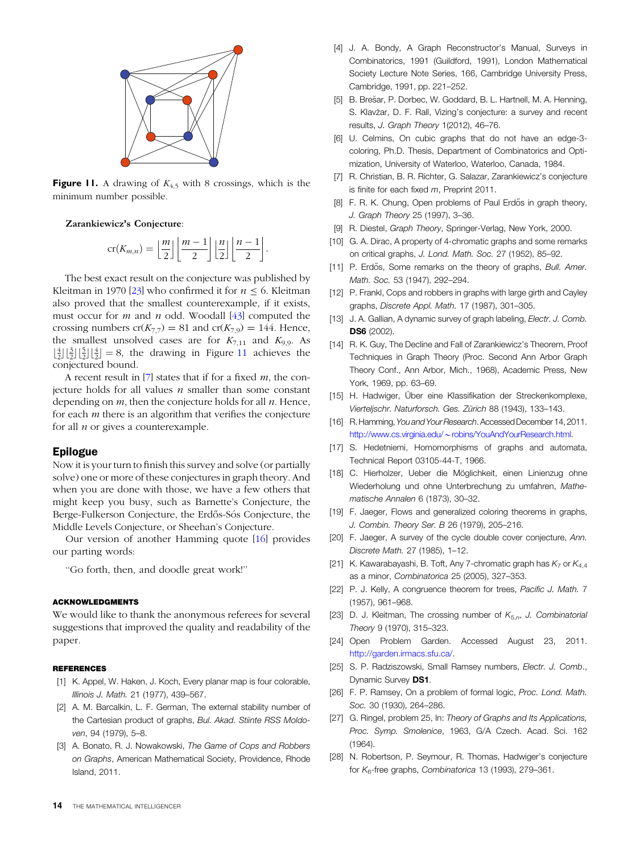

**Figure 11.** A drawing of  $K_{4,5}$  with 8 crossings, which is the minimum number possible.

Zarankiewicz's Conjecture:

$$
\operatorname{cr}(K_{m,n}) = \left\lfloor \frac{m}{2} \right\rfloor \left\lfloor \frac{m-1}{2} \right\rfloor \left\lfloor \frac{n}{2} \right\rfloor \left\lfloor \frac{n-1}{2} \right\rfloor.
$$

The best exact result on the conjecture was published by Kleitman in 1970 [[23](#page-6-0)] who confirmed it for  $n \leq 6$ . Kleitman also proved that the smallest counterexample, if it exists, must occur for  $m$  and  $n$  odd. Woodall [\[43\]](#page-7-0) computed the crossing numbers  $cr(K_{7,7}) = 81$  and  $cr(K_{7,9}) = 144$ . Hence, the smallest unsolved cases are for  $K_{7,11}$  and  $K_{9,9}$ . As  $\left[\frac{4}{2}\right]\left[\frac{2}{2}\right]\left[\frac{4}{2}\right]=8$ , the drawing in Figure [11](#page-6-0) achieves the conjectured bound.

A recent result in  $[7]$  states that if for a fixed m, the conjecture holds for all values  $n$  smaller than some constant depending on  $m$ , then the conjecture holds for all  $n$ . Hence, for each  $m$  there is an algorithm that verifies the conjecture for all  $n$  or gives a counterexample.

#### Epilogue

Now it is your turn to finish this survey and solve (or partially solve) one or more of these conjectures in graph theory. And when you are done with those, we have a few others that might keep you busy, such as Barnette's Conjecture, the Berge-Fulkerson Conjecture, the Erdős-Sós Conjecture, the Middle Levels Conjecture, or Sheehan's Conjecture.

Our version of another Hamming quote [[16](#page-6-0)] provides our parting words:

''Go forth, then, and doodle great work!''

#### ACKNOWLEDGMENTS

We would like to thank the anonymous referees for several suggestions that improved the quality and readability of the paper.

### REFERENCES

- [1] K. Appel, W. Haken, J. Koch, Every planar map is four colorable, Illinois J. Math. 21 (1977), 439–567.
- [2] A. M. Barcalkin, L. F. German, The external stability number of the Cartesian product of graphs, Bul. Akad. Stiinte RSS Moldoven, 94 (1979), 5–8.
- <span id="page-6-0"></span>[3] A. Bonato, R. J. Nowakowski, The Game of Cops and Robbers on Graphs, American Mathematical Society, Providence, Rhode Island, 2011.
- [4] J. A. Bondy, A Graph Reconstructor's Manual, Surveys in Combinatorics, 1991 (Guildford, 1991), London Mathematical Society Lecture Note Series, 166, Cambridge University Press, Cambridge, 1991, pp. 221–252.
- [5] B. Brešar, P. Dorbec, W. Goddard, B. L. Hartnell, M. A. Henning, S. Klavžar, D. F. Rall, Vizing's conjecture: a survey and recent results, J. Graph Theory 1(2012), 46–76.
- [6] U. Celmins, On cubic graphs that do not have an edge-3 coloring, Ph.D. Thesis, Department of Combinatorics and Optimization, University of Waterloo, Waterloo, Canada, 1984.
- [7] R. Christian, B. R. Richter, G. Salazar, Zarankiewicz's conjecture is finite for each fixed m, Preprint 2011.
- [8] F. R. K. Chung, Open problems of Paul Erdős in graph theory, J. Graph Theory 25 (1997), 3–36.
- [9] R. Diestel, Graph Theory, Springer-Verlag, New York, 2000.
- [10] G. A. Dirac, A property of 4-chromatic graphs and some remarks on critical graphs, J. Lond. Math. Soc. 27 (1952), 85–92.
- [11] P. Erdős, Some remarks on the theory of graphs, Bull. Amer. Math. Soc. 53 (1947), 292–294.
- [12] P. Frankl, Cops and robbers in graphs with large girth and Cayley graphs, Discrete Appl. Math. 17 (1987), 301–305.
- [13] J. A. Gallian, A dynamic survey of graph labeling, Electr. J. Comb. DS6 (2002).
- [14] R. K. Guy, The Decline and Fall of Zarankiewicz's Theorem, Proof Techniques in Graph Theory (Proc. Second Ann Arbor Graph Theory Conf., Ann Arbor, Mich., 1968), Academic Press, New York, 1969, pp. 63–69.
- [15] H. Hadwiger, Über eine Klassifikation der Streckenkomplexe, Vierteljschr. Naturforsch. Ges. Zürich 88 (1943), 133-143.
- [16] R. Hamming, You and Your Research. Accessed December 14, 2011. http://www.cs.virginia.edu/~[robins/YouAndYourResearch.html.](http://www.cs.virginia.edu/~robins/YouAndYourResearch.html)
- [17] S. Hedetniemi, Homomorphisms of graphs and automata, Technical Report 03105-44-T, 1966.
- [18] C. Hierholzer, Ueber die Möglichkeit, einen Linienzug ohne Wiederholung und ohne Unterbrechung zu umfahren, Mathematische Annalen 6 (1873), 30–32.
- [19] F. Jaeger, Flows and generalized coloring theorems in graphs, J. Combin. Theory Ser. B 26 (1979), 205–216.
- [20] F. Jaeger, A survey of the cycle double cover conjecture, Ann. Discrete Math. 27 (1985), 1–12.
- [21] K. Kawarabayashi, B. Toft, Any 7-chromatic graph has  $K_7$  or  $K_{4,4}$ as a minor, Combinatorica 25 (2005), 327–353.
- [22] P. J. Kelly, A congruence theorem for trees, Pacific J. Math. 7 (1957), 961–968.
- [23] D. J. Kleitman, The crossing number of  $K_{5,n}$ , J. Combinatorial Theory 9 (1970), 315–323.
- [24] Open Problem Garden. Accessed August 23, 2011. <http://garden.irmacs.sfu.ca/>.
- [25] S. P. Radziszowski, Small Ramsey numbers, Electr. J. Comb., Dynamic Survey DS1.
- [26] F. P. Ramsey, On a problem of formal logic, Proc. Lond. Math. Soc. 30 (1930), 264–286.
- [27] G. Ringel, problem 25, In: Theory of Graphs and Its Applications, Proc. Symp. Smolenice, 1963, G/A Czech. Acad. Sci. 162 (1964).
- [28] N. Robertson, P. Seymour, R. Thomas, Hadwiger's conjecture for  $K_6$ -free graphs, Combinatorica 13 (1993), 279-361.